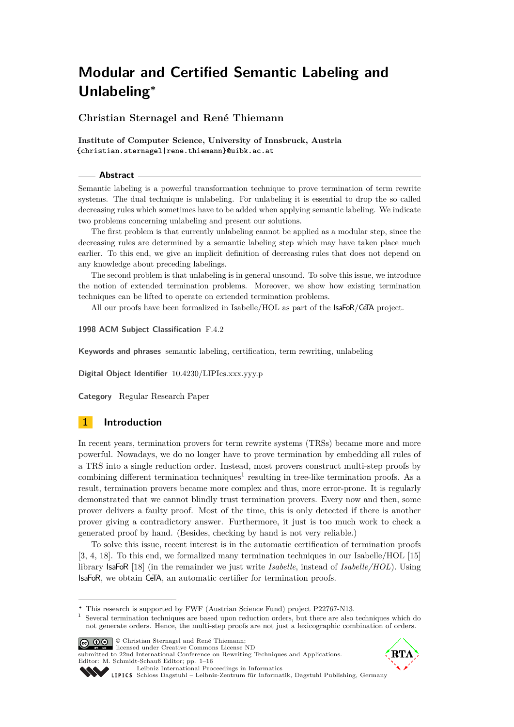<span id="page-0-0"></span>**Christian Sternagel and René Thiemann**

**Institute of Computer Science, University of Innsbruck, Austria {christian.sternagel|rene.thiemann}@uibk.ac.at**

#### **Abstract**

Semantic labeling is a powerful transformation technique to prove termination of term rewrite systems. The dual technique is unlabeling. For unlabeling it is essential to drop the so called decreasing rules which sometimes have to be added when applying semantic labeling. We indicate two problems concerning unlabeling and present our solutions.

The first problem is that currently unlabeling cannot be applied as a modular step, since the decreasing rules are determined by a semantic labeling step which may have taken place much earlier. To this end, we give an implicit definition of decreasing rules that does not depend on any knowledge about preceding labelings.

The second problem is that unlabeling is in general unsound. To solve this issue, we introduce the notion of extended termination problems. Moreover, we show how existing termination techniques can be lifted to operate on extended termination problems.

All our proofs have been formalized in Isabelle/HOL as part of the IsaFoR/CeTA project.

#### **1998 ACM Subject Classification** F.4.2

**Keywords and phrases** semantic labeling, certification, term rewriting, unlabeling

**Digital Object Identifier** [10.4230/LIPIcs.xxx.yyy.p](http://dx.doi.org/10.4230/LIPIcs.xxx.yyy.p)

**Category** Regular Research Paper

# **1 Introduction**

In recent years, termination provers for term rewrite systems (TRSs) became more and more powerful. Nowadays, we do no longer have to prove termination by embedding all rules of a TRS into a single reduction order. Instead, most provers construct multi-step proofs by combining different termination techniques<sup>1</sup> resulting in tree-like termination proofs. As a result, termination provers became more complex and thus, more error-prone. It is regularly demonstrated that we cannot blindly trust termination provers. Every now and then, some prover delivers a faulty proof. Most of the time, this is only detected if there is another prover giving a contradictory answer. Furthermore, it just is too much work to check a generated proof by hand. (Besides, checking by hand is not very reliable.)

To solve this issue, recent interest is in the automatic certification of termination proofs [\[3,](#page-15-0) [4,](#page-15-1) [18\]](#page-15-2). To this end, we formalized many termination techniques in our Isabelle/HOL [\[15\]](#page-15-3) library IsaFoR [\[18\]](#page-15-2) (in the remainder we just write *Isabelle*, instead of *Isabelle/HOL*). Using IsaFoR, we obtain CeTA, an automatic certifier for termination proofs.

<sup>&</sup>lt;sup>1</sup> Several termination techniques are based upon reduction orders, but there are also techniques which do not generate orders. Hence, the multi-step proofs are not just a lexicographic combination of orders.



© Christian Sternagel and René Thiemann; licensed under Creative Commons License ND submitted to 22nd International Conference on Rewriting Techniques and Applications.



[Schloss Dagstuhl – Leibniz-Zentrum für Informatik, Dagstuhl Publishing, Germany](http://www.dagstuhl.de)

**<sup>∗</sup>** This research is supported by FWF (Austrian Science Fund) project P22767-N13.

Editor: M. Schmidt-Schauß Editor; pp. 1[–16](#page-15-4) [Leibniz International Proceedings in Informatics](http://www.dagstuhl.de/lipics/)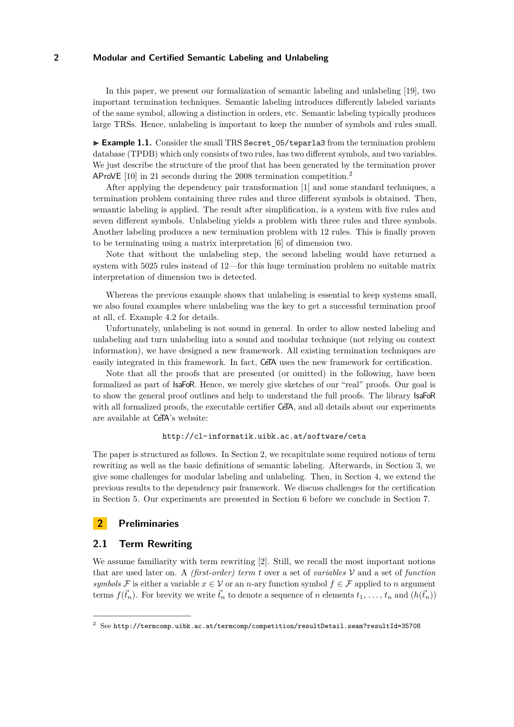In this paper, we present our formalization of semantic labeling and unlabeling [\[19\]](#page-15-5), two important termination techniques. Semantic labeling introduces differently labeled variants of the same symbol, allowing a distinction in orders, etc. Semantic labeling typically produces large TRSs. Hence, unlabeling is important to keep the number of symbols and rules small.

► Example 1.1. Consider the small TRS Secret 05/teparla3 from the termination problem database (TPDB) which only consists of two rules, has two different symbols, and two variables. We just describe the structure of the proof that has been generated by the termination prover AProVE [\[10\]](#page-15-6) in 21 seconds during the 2008 termination competition.<sup>2</sup>

After applying the dependency pair transformation [\[1\]](#page-15-7) and some standard techniques, a termination problem containing three rules and three different symbols is obtained. Then, semantic labeling is applied. The result after simplification, is a system with five rules and seven different symbols. Unlabeling yields a problem with three rules and three symbols. Another labeling produces a new termination problem with 12 rules. This is finally proven to be terminating using a matrix interpretation [\[6\]](#page-15-8) of dimension two.

Note that without the unlabeling step, the second labeling would have returned a system with 5025 rules instead of 12—for this huge termination problem no suitable matrix interpretation of dimension two is detected.

Whereas the previous example shows that unlabeling is essential to keep systems small, we also found examples where unlabeling was the key to get a successful termination proof at all, cf. Example [4.2](#page-9-0) for details.

Unfortunately, unlabeling is not sound in general. In order to allow nested labeling and unlabeling and turn unlabeling into a sound and modular technique (not relying on context information), we have designed a new framework. All existing termination techniques are easily integrated in this framework. In fact, CeTA uses the new framework for certification.

Note that all the proofs that are presented (or omitted) in the following, have been formalized as part of IsaFoR. Hence, we merely give sketches of our "real" proofs. Our goal is to show the general proof outlines and help to understand the full proofs. The library IsaFoR with all formalized proofs, the executable certifier CeTA, and all details about our experiments are available at CeTA's website:

# <http://cl-informatik.uibk.ac.at/software/ceta>

The paper is structured as follows. In Section [2,](#page-1-0) we recapitulate some required notions of term rewriting as well as the basic definitions of semantic labeling. Afterwards, in Section [3,](#page-3-0) we give some challenges for modular labeling and unlabeling. Then, in Section [4,](#page-9-1) we extend the previous results to the dependency pair framework. We discuss challenges for the certification in Section [5.](#page-12-0) Our experiments are presented in Section [6](#page-14-0) before we conclude in Section [7.](#page-14-1)

# <span id="page-1-0"></span>**2 Preliminaries**

# **2.1 Term Rewriting**

We assume familiarity with term rewriting [\[2\]](#page-15-9). Still, we recall the most important notions that are used later on. A *(first-order) term t* over a set of *variables* V and a set of *function symbols* F is either a variable  $x \in V$  or an *n*-ary function symbol  $f \in F$  applied to *n* argument terms  $f(\vec{t}_n)$ . For brevity we write  $\vec{t}_n$  to denote a sequence of *n* elements  $t_1, \ldots, t_n$  and  $(h(\vec{t}_n))$ 

 $2^{2}$  See <http://termcomp.uibk.ac.at/termcomp/competition/resultDetail.seam?resultId=35708>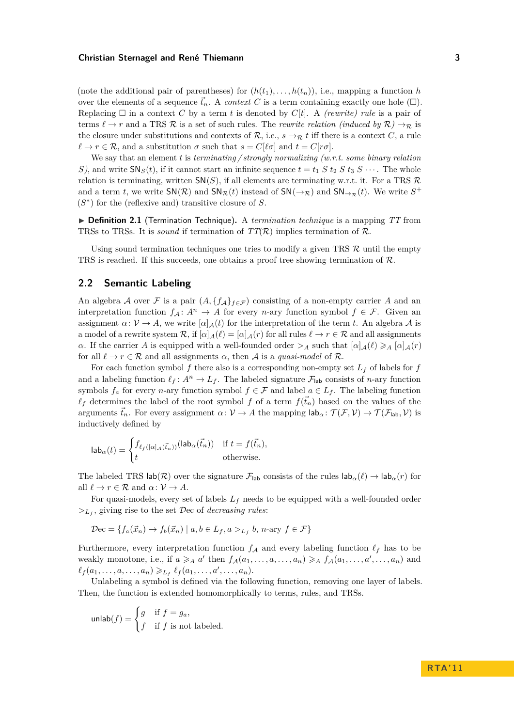(note the additional pair of parentheses) for  $(h(t_1), \ldots, h(t_n))$ , i.e., mapping a function *h* over the elements of a sequence  $\vec{t}_n$ . A *context* C is a term containing exactly one hole  $(\Box)$ . Replacing  $\Box$  in a context C by a term *t* is denoted by  $C[t]$ . A *(rewrite) rule* is a pair of terms  $\ell \to r$  and a TRS R is a set of such rules. The *rewrite relation (induced by*  $\mathcal{R}$ )  $\to_{\mathcal{R}}$  is the closure under substitutions and contexts of  $\mathcal{R}$ , i.e.,  $s \to_{\mathcal{R}} t$  iff there is a context *C*, a rule  $\ell \to r \in \mathcal{R}$ , and a substitution  $\sigma$  such that  $s = C[\ell \sigma]$  and  $t = C[r\sigma]$ .

We say that an element *t* is *terminating / strongly normalizing (w.r.t. some binary relation S*), and write  $\text{SN}_S(t)$ , if it cannot start an infinite sequence  $t = t_1 S t_2 S t_3 S \cdots$ . The whole relation is terminating, written  $SN(S)$ , if all elements are terminating w.r.t. it. For a TRS  $\mathcal{R}$ and a term *t*, we write  $SN(R)$  and  $SN_R(t)$  instead of  $SN(\rightarrow_R)$  and  $SN_{\rightarrow_R}(t)$ . We write  $S^+$  $(S^*)$  for the (reflexive and) transitive closure of *S*.

▶ **Definition 2.1** (Termination Technique). A *termination technique* is a mapping *TT* from TRSs to TRSs. It is *sound* if termination of  $TT(\mathcal{R})$  implies termination of  $\mathcal{R}$ .

Using sound termination techniques one tries to modify a given TRS  $\mathcal{R}$  until the empty TRS is reached. If this succeeds, one obtains a proof tree showing termination of  $\mathcal{R}$ .

# **2.2 Semantic Labeling**

An algebra A over F is a pair  $(A, \{f_A\}_{f \in \mathcal{F}})$  consisting of a non-empty carrier A and an interpretation function  $f_A: A^n \to A$  for every *n*-ary function symbol  $f \in \mathcal{F}$ . Given an assignment  $\alpha: \mathcal{V} \to A$ , we write  $[\alpha]_{\mathcal{A}}(t)$  for the interpretation of the term *t*. An algebra  $\mathcal{A}$  is a model of a rewrite system  $\mathcal{R}$ , if  $[\alpha]_{\mathcal{A}}(\ell) = [\alpha]_{\mathcal{A}}(r)$  for all rules  $\ell \to r \in \mathcal{R}$  and all assignments *α*. If the carrier *A* is equipped with a well-founded order  $\geq_A$  such that  $[\alpha]_A(\ell) \geq_A [\alpha]_A(r)$ for all  $\ell \to r \in \mathcal{R}$  and all assignments  $\alpha$ , then A is a *quasi-model* of R.

For each function symbol  $f$  there also is a corresponding non-empty set  $L_f$  of labels for  $f$ and a labeling function  $\ell_f : A^n \to L_f$ . The labeled signature  $\mathcal{F}_{\text{lab}}$  consists of *n*-ary function symbols  $f_a$  for every *n*-ary function symbol  $f \in \mathcal{F}$  and label  $a \in L_f$ . The labeling function  $\ell_f$  determines the label of the root symbol *f* of a term  $f(\vec{t}_n)$  based on the values of the arguments  $\vec{t}_n$ . For every assignment  $\alpha: \mathcal{V} \to A$  the mapping  $\mathsf{lab}_\alpha: \mathcal{T}(\mathcal{F}, \mathcal{V}) \to \mathcal{T}(\mathcal{F}_{\mathsf{lab}}, \mathcal{V})$  is inductively defined by

$$
\mathsf{lab}_{\alpha}(t) = \begin{cases} f_{\ell_f([\alpha]_{\mathcal{A}}(\vec{t}_n))}(\mathsf{lab}_{\alpha}(\vec{t}_n)) & \text{if } t = f(\vec{t}_n), \\ t & \text{otherwise.} \end{cases}
$$

The labeled TRS lab( $\mathcal{R}$ ) over the signature  $\mathcal{F}_{\text{lab}}$  consists of the rules  $\text{lab}_{\alpha}(\ell) \to \text{lab}_{\alpha}(r)$  for all  $\ell \to r \in \mathcal{R}$  and  $\alpha \colon \mathcal{V} \to A$ .

For quasi-models, every set of labels *L<sup>f</sup>* needs to be equipped with a well-founded order *><sup>L</sup><sup>f</sup>* , giving rise to the set Dec of *decreasing rules*:

$$
\mathcal{D}\mathbf{ec} = \{ f_a(\vec{x}_n) \to f_b(\vec{x}_n) \mid a, b \in L_f, a >_{L_f} b, n\text{-ary } f \in \mathcal{F} \}
$$

Furthermore, every interpretation function  $f_A$  and every labeling function  $\ell_f$  has to be weakly monotone, i.e., if  $a \geq A$  *a*' then  $f_A(a_1, \ldots, a, \ldots, a_n) \geq A$   $f_A(a_1, \ldots, a', \ldots, a_n)$  and  $\ell_f(a_1, \ldots, a, \ldots, a_n) \geq \ell_f(a_1, \ldots, a', \ldots, a_n).$ 

Unlabeling a symbol is defined via the following function, removing one layer of labels. Then, the function is extended homomorphically to terms, rules, and TRSs.

$$
\text{unlab}(f) = \begin{cases} g & \text{if } f = g_a, \\ f & \text{if } f \text{ is not labeled.} \end{cases}
$$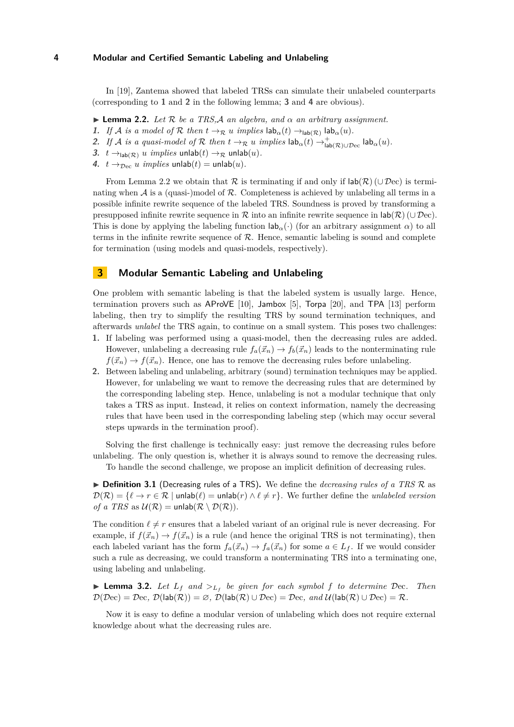In [\[19\]](#page-15-5), Zantema showed that labeled TRSs can simulate their unlabeled counterparts (corresponding to **[1](#page-3-1)** and **[2](#page-3-2)** in the following lemma; **[3](#page-3-3)** and **[4](#page-3-4)** are obvious).

- <span id="page-3-5"></span>**Lemma 2.2.** *Let*  $\mathcal{R}$  *be a TRS.A an algebra, and*  $\alpha$  *an arbitrary assignment.*
- <span id="page-3-1"></span>**1.** *If* A *is a model of* R *then*  $t \to \mathbb{R}$  *u implies*  $\textsf{lab}_{\alpha}(t) \to_{\textsf{lab}(\mathcal{R})} \textsf{lab}_{\alpha}(u)$ *.*
- <span id="page-3-2"></span>2. *If A is a quasi-model of*  $\mathcal R$  *then*  $t \to_{\mathcal R} u$  *implies*  $\textsf{lab}_{\alpha}(t) \to_{\textsf{lab}(\mathcal R) \cup \mathcal D \text{ec}}^{\textsf{L}} \textsf{lab}_{\alpha}(u)$ .
- <span id="page-3-3"></span>**3.**  $t \rightarrow_{\text{lab}(\mathcal{R})} u \text{ implies } \text{unlab}(t) \rightarrow_{\mathcal{R}} \text{unlab}(u).$
- <span id="page-3-4"></span>**4.**  $t \rightarrow_{\text{Dec}} u \text{ implies } \text{unlab}(t) = \text{unlab}(u).$

From Lemma [2.2](#page-3-5) we obtain that R is terminating if and only if  $\text{lab}(\mathcal{R})$  (∪ Dec) is terminating when  $A$  is a (quasi-)model of  $R$ . Completeness is achieved by unlabeling all terms in a possible infinite rewrite sequence of the labeled TRS. Soundness is proved by transforming a presupposed infinite rewrite sequence in R into an infinite rewrite sequence in  $\mathsf{lab}(\mathcal{R})$  (∪ Dec). This is done by applying the labeling function  $\mathsf{lab}_\alpha(\cdot)$  (for an arbitrary assignment  $\alpha$ ) to all terms in the infinite rewrite sequence of  $R$ . Hence, semantic labeling is sound and complete for termination (using models and quasi-models, respectively).

# <span id="page-3-0"></span>**3 Modular Semantic Labeling and Unlabeling**

One problem with semantic labeling is that the labeled system is usually large. Hence, termination provers such as AProVE [\[10\]](#page-15-6), Jambox [\[5\]](#page-15-10), Torpa [\[20\]](#page-15-11), and TPA [\[13\]](#page-15-12) perform labeling, then try to simplify the resulting TRS by sound termination techniques, and afterwards *unlabel* the TRS again, to continue on a small system. This poses two challenges:

- **1.** If labeling was performed using a quasi-model, then the decreasing rules are added. However, unlabeling a decreasing rule  $f_a(\vec{x}_n) \to f_b(\vec{x}_n)$  leads to the nonterminating rule  $f(\vec{x}_n) \rightarrow f(\vec{x}_n)$ . Hence, one has to remove the decreasing rules before unlabeling.
- **2.** Between labeling and unlabeling, arbitrary (sound) termination techniques may be applied. However, for unlabeling we want to remove the decreasing rules that are determined by the corresponding labeling step. Hence, unlabeling is not a modular technique that only takes a TRS as input. Instead, it relies on context information, namely the decreasing rules that have been used in the corresponding labeling step (which may occur several steps upwards in the termination proof).

Solving the first challenge is technically easy: just remove the decreasing rules before unlabeling. The only question is, whether it is always sound to remove the decreasing rules.

To handle the second challenge, we propose an implicit definition of decreasing rules.

<span id="page-3-6"></span>▶ **Definition 3.1** (Decreasing rules of a TRS). We define the *decreasing rules of a TRS* R as  $\mathcal{D}(\mathcal{R}) = \{ \ell \to r \in \mathcal{R} \mid \text{unlab}(\ell) = \text{unlab}(r) \land \ell \neq r \}.$  We further define the *unlabeled version of a TRS* as  $U(\mathcal{R}) = \text{unlab}(\mathcal{R} \setminus \mathcal{D}(\mathcal{R})).$ 

The condition  $\ell \neq r$  ensures that a labeled variant of an original rule is never decreasing. For example, if  $f(\vec{x}_n) \to f(\vec{x}_n)$  is a rule (and hence the original TRS is not terminating), then each labeled variant has the form  $f_a(\vec{x}_n) \to f_a(\vec{x}_n)$  for some  $a \in L_f$ . If we would consider such a rule as decreasing, we could transform a nonterminating TRS into a terminating one, using labeling and unlabeling.

<span id="page-3-7"></span>**Example 12.** Let  $L_f$  and  $>L_f$  be given for each symbol f to determine Dec. Then  $\mathcal{D}(\mathcal{D}ec) = \mathcal{D}ec$ ,  $\mathcal{D}(lab(\mathcal{R})) = \varnothing$ ,  $\mathcal{D}(lab(\mathcal{R}) \cup \mathcal{D}ec) = \mathcal{D}ec$ , and  $\mathcal{U}(lab(\mathcal{R}) \cup \mathcal{D}ec) = \mathcal{R}$ .

Now it is easy to define a modular version of unlabeling which does not require external knowledge about what the decreasing rules are.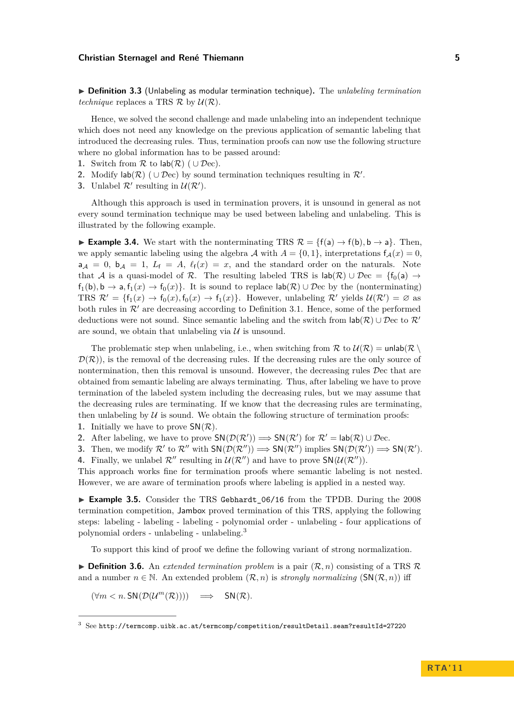I **Definition 3.3** (Unlabeling as modular termination technique)**.** The *unlabeling termination technique* replaces a TRS  $\mathcal{R}$  by  $\mathcal{U}(\mathcal{R})$ .

Hence, we solved the second challenge and made unlabeling into an independent technique which does not need any knowledge on the previous application of semantic labeling that introduced the decreasing rules. Thus, termination proofs can now use the following structure where no global information has to be passed around:

- **1.** Switch from  $\mathcal{R}$  to  $\mathsf{lab}(\mathcal{R})$  (  $\cup \mathcal{D}\text{ec}$ ).
- **2.** Modify  $\text{lab}(\mathcal{R})$  ( $\cup$   $\mathcal{D}$ ec) by sound termination techniques resulting in  $\mathcal{R}'$ .
- **3.** Unlabel  $\mathcal{R}'$  resulting in  $\mathcal{U}(\mathcal{R}')$ .

Although this approach is used in termination provers, it is unsound in general as not every sound termination technique may be used between labeling and unlabeling. This is illustrated by the following example.

<span id="page-4-1"></span>**► Example 3.4.** We start with the nonterminating TRS  $\mathcal{R} = \{f(a) \rightarrow f(b), b \rightarrow a\}$ . Then, we apply semantic labeling using the algebra  $A$  with  $A = \{0, 1\}$ , interpretations  $f_A(x) = 0$ ,  $a_A = 0$ ,  $b_A = 1$ ,  $L_f = A$ ,  $\ell_f(x) = x$ , and the standard order on the naturals. Note that A is a quasi-model of R. The resulting labeled TRS is  $\text{lab}(\mathcal{R}) \cup \mathcal{D}ec = \{f_0(a) \rightarrow$  $f_1(b), b \to a, f_1(x) \to f_0(x)$ . It is sound to replace  $\text{lab}(\mathcal{R}) \cup \mathcal{D}$ ec by the (nonterminating) TRS  $\mathcal{R}' = \{f_1(x) \to f_0(x), f_0(x) \to f_1(x)\}\$ . However, unlabeling  $\mathcal{R}'$  yields  $\mathcal{U}(\mathcal{R}') = \emptyset$  as both rules in  $\mathcal{R}'$  are decreasing according to Definition [3.1.](#page-3-6) Hence, some of the performed deductions were not sound. Since semantic labeling and the switch from  $\text{lab}(\mathcal{R}) \cup \mathcal{D}$ ec to  $\mathcal{R}'$ are sound, we obtain that unlabeling via  $\mathcal U$  is unsound.

The problematic step when unlabeling, i.e., when switching from  $\mathcal R$  to  $\mathcal U(\mathcal R) = \text{unlab}(\mathcal R)$  $\mathcal{D}(\mathcal{R})$ , is the removal of the decreasing rules. If the decreasing rules are the only source of nontermination, then this removal is unsound. However, the decreasing rules Dec that are obtained from semantic labeling are always terminating. Thus, after labeling we have to prove termination of the labeled system including the decreasing rules, but we may assume that the decreasing rules are terminating. If we know that the decreasing rules are terminating, then unlabeling by  $U$  is sound. We obtain the following structure of termination proofs:

- **1.** Initially we have to prove  $\mathsf{SN}(\mathcal{R})$ .
- **2.** After labeling, we have to prove  $SN(\mathcal{D}(\mathcal{R}')) \Longrightarrow SN(\mathcal{R}')$  for  $\mathcal{R}' = \text{lab}(\mathcal{R}) \cup \mathcal{D}$ ec.
- **3.** Then, we modify  $\mathcal{R}'$  to  $\mathcal{R}''$  with  $SN(\mathcal{D}(\mathcal{R}'')) \Longrightarrow SN(\mathcal{R}'')$  implies  $SN(\mathcal{D}(\mathcal{R}')) \Longrightarrow SN(\mathcal{R}'.$
- **4.** Finally, we unlabel  $\mathcal{R}''$  resulting in  $\mathcal{U}(\mathcal{R}'')$  and have to prove  $\mathsf{SN}(\mathcal{U}(\mathcal{R}''))$ .

This approach works fine for termination proofs where semantic labeling is not nested. However, we are aware of termination proofs where labeling is applied in a nested way.

<span id="page-4-2"></span>► Example 3.5. Consider the TRS Gebhardt\_06/16 from the TPDB. During the 2008 termination competition, Jambox proved termination of this TRS, applying the following steps: labeling - labeling - labeling - polynomial order - unlabeling - four applications of polynomial orders - unlabeling - unlabeling.<sup>3</sup>

To support this kind of proof we define the following variant of strong normalization.

<span id="page-4-0"></span> $\triangleright$  **Definition 3.6.** An *extended termination problem* is a pair  $(\mathcal{R}, n)$  consisting of a TRS  $\mathcal{R}$ and a number  $n \in \mathbb{N}$ . An extended problem  $(\mathcal{R}, n)$  is *strongly normalizing*  $(SN(\mathcal{R}, n))$  iff

$$
(\forall m < n. \mathsf{SN}(\mathcal{D}(\mathcal{U}^m(\mathcal{R})))) \implies \mathsf{SN}(\mathcal{R}).
$$

 $3$  See <http://termcomp.uibk.ac.at/termcomp/competition/resultDetail.seam?resultId=27220>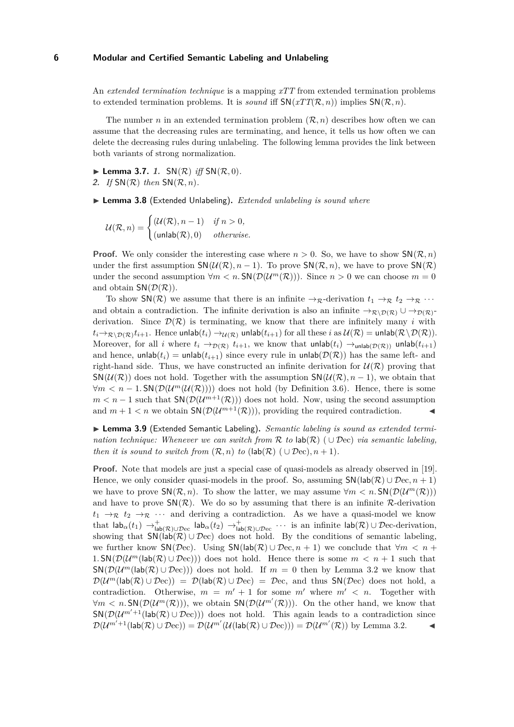An *extended termination technique* is a mapping *xTT* from extended termination problems to extended termination problems. It is *sound* iff  $SN(xTT(\mathcal{R}, n))$  implies  $SN(\mathcal{R}, n)$ .

The number *n* in an extended termination problem  $(\mathcal{R}, n)$  describes how often we can assume that the decreasing rules are terminating, and hence, it tells us how often we can delete the decreasing rules during unlabeling. The following lemma provides the link between both variants of strong normalization.

<span id="page-5-1"></span><span id="page-5-0"></span> $\blacktriangleright$  **Lemma 3.7.** 1.  $SN(\mathcal{R})$  *iff*  $SN(\mathcal{R}, 0)$ *.* **2.** *If* SN(R) *then* SN(R*, n*)*.*

▶ Lemma 3.8 (Extended Unlabeling). *Extended unlabeling is sound where* 

 $\mathcal{U}(\mathcal{R}, n) = \begin{cases} (\mathcal{U}(\mathcal{R}), n-1) & \text{if } n > 0, \end{cases}$  $(\text{unlab}(\mathcal{R}), 0)$  *otherwise.* 

**Proof.** We only consider the interesting case where  $n > 0$ . So, we have to show  $\mathsf{SN}(\mathcal{R}, n)$ under the first assumption  $SN(\mathcal{U}(\mathcal{R}), n-1)$ . To prove  $SN(\mathcal{R}, n)$ , we have to prove  $SN(\mathcal{R})$ under the second assumption  $\forall m < n$ .  $\text{SN}(\mathcal{D}(\mathcal{U}^m(\mathcal{R})))$ . Since  $n > 0$  we can choose  $m = 0$ and obtain  $SN(\mathcal{D}(\mathcal{R}))$ .

To show  $\mathsf{SN}(\mathcal{R})$  we assume that there is an infinite  $\rightarrow_{\mathcal{R}}$ -derivation  $t_1 \rightarrow_{\mathcal{R}} t_2 \rightarrow_{\mathcal{R}} \cdots$ and obtain a contradiction. The infinite derivation is also an infinite  $\to_{\mathcal{R}\setminus\mathcal{D}(\mathcal{R})}\cup\to_{\mathcal{D}(\mathcal{R})}$ derivation. Since  $\mathcal{D}(\mathcal{R})$  is terminating, we know that there are infinitely many *i* with  $t_i{\to}_{{\cal R}\setminus {\cal D}({\cal R})} t_{i+1}.$  Hence unlab $(t_i)\to_{\cal U({\cal R})}$  unlab $(t_{i+1})$  for all these  $i$  as  ${\cal U({\cal R})}=$  unlab $({\cal R}\setminus {\cal D({\cal R})}).$ Moreover, for all *i* where  $t_i \to_{\mathcal{D}(\mathcal{R})} t_{i+1}$ , we know that  $\mathsf{unlab}(t_i) \to_{\mathsf{unlab}(\mathcal{D}(\mathcal{R}))} \mathsf{unlab}(t_{i+1})$ and hence,  $\text{unlab}(t_i) = \text{unlab}(t_{i+1})$  since every rule in  $\text{unlab}(\mathcal{D}(\mathcal{R}))$  has the same left- and right-hand side. Thus, we have constructed an infinite derivation for  $\mathcal{U}(\mathcal{R})$  proving that  $\mathsf{SN}(\mathcal{U}(\mathcal{R}))$  does not hold. Together with the assumption  $\mathsf{SN}(\mathcal{U}(\mathcal{R}), n-1)$ , we obtain that  $\forall m < n - 1$ . SN( $\mathcal{D}(\mathcal{U}^m(\mathcal{U}(\mathcal{R}))))$  does not hold (by Definition [3.6\)](#page-4-0). Hence, there is some  $m < n - 1$  such that  $\mathsf{SN}(\mathcal{D}(\mathcal{U}^{m+1}(\mathcal{R})))$  does not hold. Now, using the second assumption and  $m + 1 < n$  we obtain  $\mathsf{SN}(\mathcal{D}(\mathcal{U}^{m+1}(\mathcal{R})))$ , providing the required contradiction.

<span id="page-5-2"></span>▶ Lemma 3.9 (Extended Semantic Labeling). Semantic labeling is sound as extended termi*nation technique: Whenever we can switch from* R *to* lab(R) ( ∪ Dec) *via semantic labeling, then it is sound to switch from*  $(\mathcal{R}, n)$  *to*  $(\text{lab}(\mathcal{R}) \cup \mathcal{D}ec), n + 1)$ *.* 

**Proof.** Note that models are just a special case of quasi-models as already observed in [\[19\]](#page-15-5). Hence, we only consider quasi-models in the proof. So, assuming  $SN(\text{lab}(\mathcal{R}) \cup \mathcal{D}ec, n+1)$ we have to prove  $\mathsf{SN}(\mathcal{R}, n)$ . To show the latter, we may assume  $\forall m < n$ .  $\mathsf{SN}(\mathcal{D}(\mathcal{U}^m(\mathcal{R})))$ and have to prove  $SN(\mathcal{R})$ . We do so by assuming that there is an infinite  $\mathcal{R}$ -derivation  $t_1 \rightarrow_{\mathcal{R}} t_2 \rightarrow_{\mathcal{R}} \cdots$  and deriving a contradiction. As we have a quasi-model we know that  $\mathsf{lab}_\alpha(t_1) \to_{\mathsf{lab}(\mathcal{R}) \cup \mathcal{D}\text{ec}}^+$  lab $_\alpha(t_2) \to_{\mathsf{lab}(\mathcal{R}) \cup \mathcal{D}\text{ec}}^+$  · · · is an infinite  $\mathsf{lab}(\mathcal{R}) \cup \mathcal{D}\text{ec-derivation}$ , showing that  $\mathsf{SN}(\mathsf{lab}(\mathcal{R}) \cup \mathcal{D}\mathsf{ec})$  does not hold. By the conditions of semantic labeling, we further know  $\mathsf{SN}(\mathcal{D}\text{ec})$ . Using  $\mathsf{SN}(\mathsf{lab}(\mathcal{R}) \cup \mathcal{D}\text{ec}, n+1)$  we conclude that  $\forall m \leq n+1$ 1.  $\mathsf{SN}(\mathcal{D}(\mathcal{U}^m(\mathsf{lab}(\mathcal{R})\cup \mathcal{D}\mathrm{ec})))$  does not hold. Hence there is some  $m < n+1$  such that  $\mathsf{SN}(\mathcal{D}(\mathcal{U}^m(\mathsf{lab}(\mathcal{R})\cup\mathcal{D}\mathrm{ec})))$  does not hold. If  $m=0$  then by Lemma [3.2](#page-3-7) we know that  $\mathcal{D}(\mathcal{U}^m(\textsf{lab}(\mathcal{R}) \cup \mathcal{D}\text{ec})) = \mathcal{D}(\textsf{lab}(\mathcal{R}) \cup \mathcal{D}\text{ec}) = \mathcal{D}\text{ec}$ , and thus  $\mathsf{SN}(\mathcal{D}\text{ec})$  does not hold, a contradiction. Otherwise,  $m = m' + 1$  for some  $m'$  where  $m' < n$ . Together with  $\forall m \leq n$ . SN( $\mathcal{D}(\mathcal{U}^m(\mathcal{R})))$ , we obtain SN( $\mathcal{D}(\mathcal{U}^{m'}(\mathcal{R})))$ . On the other hand, we know that  $\mathsf{SN}(\mathcal{D}(\mathcal{U}^{m'+1}(\mathsf{lab}(\mathcal{R})\cup\mathcal{D}\mathrm{ec})))$  does not hold. This again leads to a contradiction since  $\mathcal{D}(\mathcal{U}^{m'+1}(\textsf{lab}(\mathcal{R}) \cup \mathcal{D}\textup{ec})) = \mathcal{D}(\mathcal{U}^{m'}(\mathcal{U}(\textsf{lab}(\mathcal{R}) \cup \mathcal{D}\textup{ec}))) = \mathcal{D}(\mathcal{U}^{m'}(\mathcal{R}))$  by Lemma [3.2.](#page-3-7)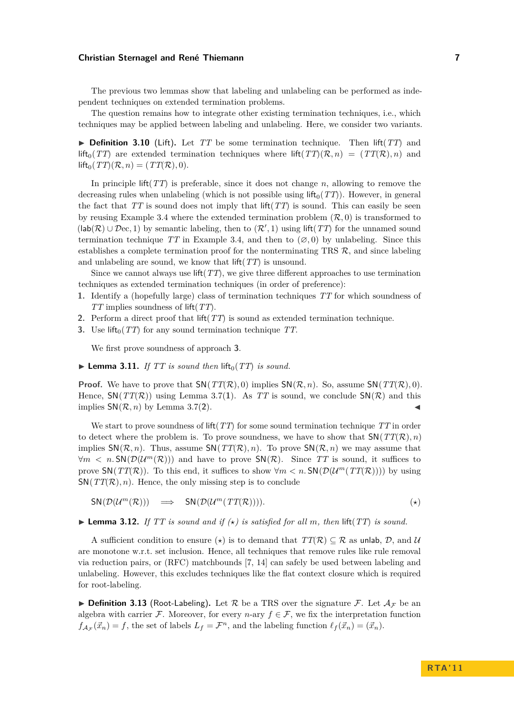The previous two lemmas show that labeling and unlabeling can be performed as independent techniques on extended termination problems.

The question remains how to integrate other existing termination techniques, i.e., which techniques may be applied between labeling and unlabeling. Here, we consider two variants.

 $\triangleright$  **Definition 3.10** (Lift). Let *TT* be some termination technique. Then lift(*TT*) and lift<sub>0</sub>(*TT*) are extended termination techniques where lift(*TT*)( $\mathcal{R}, n$ ) = (*TT*( $\mathcal{R}$ )*, n*) and  $\text{lift}_0(TT)(\mathcal{R}, n) = (TT(\mathcal{R}), 0).$ 

In principle lift(*TT*) is preferable, since it does not change *n*, allowing to remove the decreasing rules when unlabeling (which is not possible using lift<sub>0</sub>( $TT$ )). However, in general the fact that  $TT$  is sound does not imply that lift $(TT)$  is sound. This can easily be seen by reusing Example [3.4](#page-4-1) where the extended termination problem  $(\mathcal{R}, 0)$  is transformed to  $(lab(\mathcal{R}) \cup \mathcal{D}ec, 1)$  by semantic labeling, then to  $(\mathcal{R}', 1)$  using lift(*TT*) for the unnamed sound termination technique *TT* in Example [3.4,](#page-4-1) and then to  $(\emptyset, 0)$  by unlabeling. Since this establishes a complete termination proof for the nonterminating TRS  $\mathcal{R}$ , and since labeling and unlabeling are sound, we know that lift(*TT*) is unsound.

Since we cannot always use lift(*TT*), we give three different approaches to use termination techniques as extended termination techniques (in order of preference):

- **1.** Identify a (hopefully large) class of termination techniques *TT* for which soundness of *TT* implies soundness of lift(*TT*).
- **2.** Perform a direct proof that lift(*TT*) is sound as extended termination technique.
- <span id="page-6-0"></span>**3.** Use lift<sub>0</sub>( $TT$ ) for any sound termination technique  $TT$ .

We first prove soundness of approach **[3](#page-6-0)**.

 $\blacktriangleright$  **Lemma 3.11.** *If TT is sound then* lift<sub>0</sub>(*TT*) *is sound.* 

**Proof.** We have to prove that  $SN(TT(\mathcal{R}), 0)$  implies  $SN(\mathcal{R}, n)$ . So, assume  $SN(TT(\mathcal{R}), 0)$ . Hence,  $SN(TT(\mathcal{R}))$  using Lemma [3.7\(](#page-0-0)[1](#page-5-0)). As TT is sound, we conclude  $SN(\mathcal{R})$  and this implies  $SN(\mathcal{R}, n)$  by Lemma [3.7\(](#page-0-0)[2](#page-5-1)).

We start to prove soundness of lift(*TT*) for some sound termination technique *TT* in order to detect where the problem is. To prove soundness, we have to show that  $SN(TT(\mathcal{R}), n)$ implies  $\mathsf{SN}(\mathcal{R}, n)$ . Thus, assume  $\mathsf{SN}(TT(\mathcal{R}), n)$ . To prove  $\mathsf{SN}(\mathcal{R}, n)$  we may assume that  $\forall m \leq n$ . SN( $\mathcal{D}(\mathcal{U}^m(\mathcal{R}))$ ) and have to prove SN( $\mathcal{R}$ ). Since TT is sound, it suffices to prove  $\mathsf{SN}(TT(\mathcal{R}))$ . To this end, it suffices to show  $\forall m < n$ .  $\mathsf{SN}(D(\mathcal{U}^m(TT(\mathcal{R}))))$  by using  $SN(TT(\mathcal{R}), n)$ . Hence, the only missing step is to conclude

<span id="page-6-1"></span> $SN(\mathcal{D}(\mathcal{U}^m(\mathcal{R}))) \implies SN(\mathcal{D}(\mathcal{U}^m(TT(\mathcal{R}))))$ . (\*)

<span id="page-6-2"></span> $\blacktriangleright$  **Lemma 3.12.** *If TT is sound and if*  $(\star)$  *is satisfied for all m, then* lift(*TT*) *is sound.* 

A sufficient condition to ensure ( $\star$ ) is to demand that  $TT(\mathcal{R}) \subseteq \mathcal{R}$  as unlab,  $\mathcal{D}$ , and  $\mathcal{U}$ are monotone w.r.t. set inclusion. Hence, all techniques that remove rules like rule removal via reduction pairs, or (RFC) matchbounds [\[7,](#page-15-13) [14\]](#page-15-14) can safely be used between labeling and unlabeling. However, this excludes techniques like the flat context closure which is required for root-labeling.

**Definition 3.13** (Root-Labeling). Let R be a TRS over the signature F. Let  $\mathcal{A}_F$  be an algebra with carrier F. Moreover, for every *n*-ary  $f \in \mathcal{F}$ , we fix the interpretation function  $f_{\mathcal{A}_{\mathcal{F}}}(\vec{x}_n) = f$ , the set of labels  $L_f = \mathcal{F}^n$ , and the labeling function  $\ell_f(\vec{x}_n) = (\vec{x}_n)$ .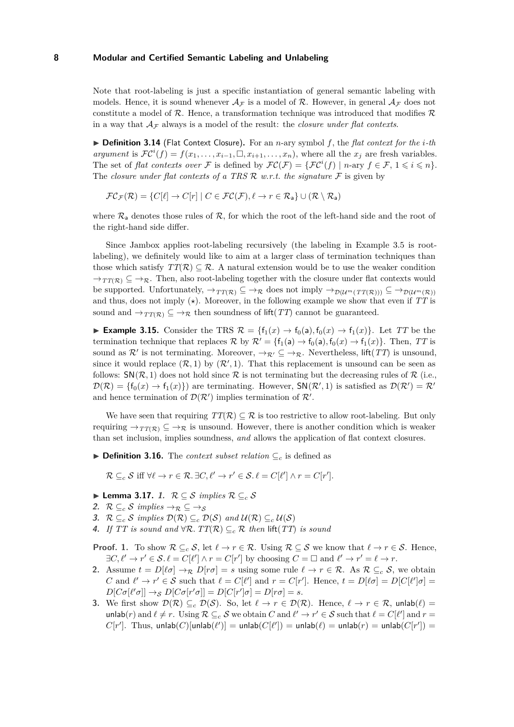Note that root-labeling is just a specific instantiation of general semantic labeling with models. Hence, it is sound whenever  $\mathcal{A}_\mathcal{F}$  is a model of  $\mathcal{R}$ . However, in general  $\mathcal{A}_\mathcal{F}$  does not constitute a model of  $\mathcal{R}$ . Hence, a transformation technique was introduced that modifies  $\mathcal{R}$ in a way that  $A_{\mathcal{F}}$  always is a model of the result: the *closure under flat contexts*.

▶ **Definition 3.14** (Flat Context Closure). For an *n*-ary symbol *f*, the *flat context for the <i>i*-th *argument* is  $\mathcal{FC}^{i}(f) = f(x_1, \ldots, x_{i-1}, \Box, x_{i+1}, \ldots, x_n)$ , where all the  $x_j$  are fresh variables. The set of *flat contexts over* F is defined by  $\mathcal{FC}(\mathcal{F}) = {\mathcal{FC}^i(f) \mid n\text{-ary } f \in \mathcal{F}, 1 \leq i \leq n}.$ The *closure under flat contexts of a TRS* R *w.r.t. the signature* F is given by

$$
\mathcal{FC}_{\mathcal{F}}(\mathcal{R}) = \{ C[\ell] \to C[r] \mid C \in \mathcal{FC}(\mathcal{F}), \ell \to r \in \mathcal{R}_{a} \} \cup (\mathcal{R} \setminus \mathcal{R}_{a})
$$

where  $\mathcal{R}_{a}$  denotes those rules of  $\mathcal{R}$ , for which the root of the left-hand side and the root of the right-hand side differ.

Since Jambox applies root-labeling recursively (the labeling in Example [3.5](#page-4-2) is rootlabeling), we definitely would like to aim at a larger class of termination techniques than those which satisfy  $TT(\mathcal{R}) \subseteq \mathcal{R}$ . A natural extension would be to use the weaker condition  $\rightarrow_{TT(\mathcal{R})} \subseteq \rightarrow_{\mathcal{R}}$ . Then, also root-labeling together with the closure under flat contexts would be supported. Unfortunately,  $\rightarrow_{TT(\mathcal{R})} \subseteq \rightarrow_{\mathcal{R}}$  does not imply  $\rightarrow_{\mathcal{D}(\mathcal{U}^m(TT(\mathcal{R})))} \subseteq \rightarrow_{\mathcal{D}(\mathcal{U}^m(\mathcal{R}))}$ and thus, does not imply  $(\star)$ . Moreover, in the following example we show that even if  $TT$  is sound and  $\rightarrow_{TT(\mathcal{R})} \subseteq \rightarrow_{\mathcal{R}}$  then soundness of lift(*TT*) cannot be guaranteed.

► **Example 3.15.** Consider the TRS  $\mathcal{R} = \{f_1(x) \to f_0(a), f_0(x) \to f_1(x)\}\.$  Let *TT* be the termination technique that replaces  $\mathcal{R}$  by  $\mathcal{R}' = \{f_1(a) \to f_0(a), f_0(x) \to f_1(x)\}\.$  Then, TT is sound as  $\mathcal{R}'$  is not terminating. Moreover,  $\rightarrow_{\mathcal{R}'} \subseteq \rightarrow_{\mathcal{R}}$ . Nevertheless, lift(*TT*) is unsound, since it would replace  $(R, 1)$  by  $(R', 1)$ . That this replacement is unsound can be seen as follows:  $\mathsf{SN}(\mathcal{R},1)$  does not hold since  $\mathcal R$  is not terminating but the decreasing rules of  $\mathcal R$  (i.e.,  $\mathcal{D}(\mathcal{R}) = \{f_0(x) \to f_1(x)\}\$  are terminating. However,  $\mathsf{SN}(\mathcal{R}', 1)$  is satisfied as  $\mathcal{D}(\mathcal{R}') = \mathcal{R}'$ and hence termination of  $\mathcal{D}(\mathcal{R}')$  implies termination of  $\mathcal{R}'$ .

We have seen that requiring  $TT(\mathcal{R}) \subseteq \mathcal{R}$  is too restrictive to allow root-labeling. But only requiring  $\rightarrow_{TT(\mathcal{R})} \subseteq \rightarrow_{\mathcal{R}}$  is unsound. However, there is another condition which is weaker than set inclusion, implies soundness, *and* allows the application of flat context closures.

**► Definition 3.16.** The *context subset relation*  $\subseteq_c$  is defined as

 $\mathcal{R} \subseteq_c \mathcal{S}$  iff  $\forall \ell \to r \in \mathcal{R}$ .  $\exists C, \ell' \to r' \in \mathcal{S}$ .  $\ell = C[\ell'] \wedge r = C[r']$ .

- I **Lemma 3.17. 1.** R ⊆ S *implies* R ⊆*<sup>c</sup>* S
- <span id="page-7-1"></span>2.  $\mathcal{R} \subseteq_c \mathcal{S}$  *implies*  $\rightarrow_{\mathcal{R}} \subseteq \rightarrow_{\mathcal{S}}$
- <span id="page-7-0"></span>**3.**  $\mathcal{R} \subseteq_c \mathcal{S}$  *implies*  $\mathcal{D}(\mathcal{R}) \subseteq_c \mathcal{D}(\mathcal{S})$  *and*  $\mathcal{U}(\mathcal{R}) \subseteq_c \mathcal{U}(\mathcal{S})$
- <span id="page-7-2"></span>**4.** *If TT is sound and* ∀R. *TT*( $\mathcal{R}$ ) ⊆<sub>*c*</sub>  $\mathcal{R}$  *then* lift(*TT*) *is sound*

**Proof. 1.** To show  $\mathcal{R} \subseteq_c \mathcal{S}$ , let  $\ell \to r \in \mathcal{R}$ . Using  $\mathcal{R} \subseteq \mathcal{S}$  we know that  $\ell \to r \in \mathcal{S}$ . Hence,  $\exists C, \ell' \to r' \in \mathcal{S}.\ell = C[\ell'] \land r = C[r']$  by choosing  $C = \square$  and  $\ell' \to r' = \ell \to r$ .

- **2.** Assume  $t = D[\ell \sigma] \rightarrow \mathbb{R}$   $D[r\sigma] = s$  using some rule  $\ell \rightarrow r \in \mathbb{R}$ . As  $\mathbb{R} \subseteq_c \mathcal{S}$ , we obtain *C* and  $\ell' \to r' \in S$  such that  $\ell = C[\ell']$  and  $r = C[r']$ . Hence,  $t = D[\ell \sigma] = D[C[\ell']\sigma] =$  $D[C\sigma[\ell'\sigma]] \rightarrow_S D[C\sigma[r'\sigma]] = D[C[r']\sigma] = D[r\sigma] = s.$
- **3.** We first show  $\mathcal{D}(\mathcal{R}) \subseteq_c \mathcal{D}(\mathcal{S})$ . So, let  $\ell \to r \in \mathcal{D}(\mathcal{R})$ . Hence,  $\ell \to r \in \mathcal{R}$ , unlab $(\ell)$  = unlab(*r*) and  $\ell \neq r$ . Using  $\mathcal{R} \subseteq_c \mathcal{S}$  we obtain *C* and  $\ell' \to r' \in \mathcal{S}$  such that  $\ell = C[\ell']$  and  $r =$  $C[r']$ . Thus, unlab $(C)$ [unlab $(\ell')$ ] = unlab $(C[\ell'])$  = unlab $(\ell)$  = unlab $(r)$  = unlab $(C[r'])$  =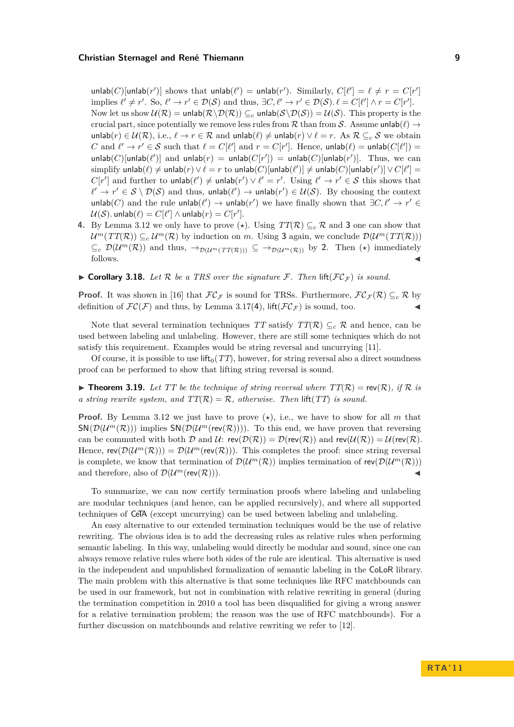$\text{unlab}(C)[\text{unlab}(r')]$  shows that  $\text{unlab}(\ell') = \text{unlab}(r')$ . Similarly,  $C[\ell'] = \ell \neq r = C[r']$ implies  $\ell' \neq r'$ . So,  $\ell' \to r' \in \mathcal{D}(\mathcal{S})$  and thus,  $\exists C, \ell' \to r' \in \mathcal{D}(\mathcal{S})$ .  $\ell = C[\ell'] \land r = C[r']$ . Now let us show  $\mathcal{U}(\mathcal{R}) = \text{unlab}(\mathcal{R} \setminus \mathcal{D}(\mathcal{R})) \subseteq_c \text{unlab}(\mathcal{S} \setminus \mathcal{D}(\mathcal{S})) = \mathcal{U}(\mathcal{S})$ . This property is the crucial part, since potentially we remove less rules from  $R$  than from  $S$ . Assume unlab $(\ell) \rightarrow$ unlab(*r*) ∈  $U(\mathcal{R})$ , i.e.,  $\ell \to r \in \mathcal{R}$  and unlab( $\ell$ )  $\neq$  unlab(*r*)  $\lor$   $\ell = r$ . As  $\mathcal{R} \subseteq_c \mathcal{S}$  we obtain *C* and  $\ell' \to r' \in S$  such that  $\ell = C[\ell']$  and  $r = C[r']$ . Hence, unlab $(\ell) = \text{unlab}(C[\ell']) =$  $\text{unlab}(C)$ [unlab $(\ell')$ ] and  $\text{unlab}(r) = \text{unlab}(C[r']) = \text{unlab}(C)$ [unlab $(r')$ ]. Thus, we can  $\text{simplicity unlab}(\ell) \neq \text{unlab}(r) \lor \ell = r \text{ to unlab}(C)[\text{unlab}(\ell')] \neq \text{unlab}(C)[\text{unlab}(r')] \lor C[\ell'] = 0$  $C[r']$  and further to unlab $(\ell') \neq$  unlab $(r') \vee \ell' = r'$ . Using  $\ell' \to r' \in S$  this shows that  $\ell' \to r' \in S \setminus \mathcal{D}(S)$  and thus, unlab $(\ell') \to \text{unlab}(r') \in \mathcal{U}(S)$ . By choosing the context unlab(*C*) and the rule unlab( $\ell'$ ) → unlab( $r'$ ) we have finally shown that  $\exists C, \ell' \rightarrow r' \in$  $\mathcal{U}(\mathcal{S})$ . unlab $(\ell) = C[\ell'] \wedge \mathsf{unlab}(r) = C[r']$ .

- **4.** By Lemma [3.12](#page-6-2) we only have to prove  $(\star)$ . Using  $TT(\mathcal{R}) \subseteq_c \mathcal{R}$  and **[3](#page-7-0)** one can show that  $\mathcal{U}^m(TT(\mathcal{R})) \subseteq_c \mathcal{U}^m(\mathcal{R})$  by induction on *m*. Using [3](#page-7-0) again, we conclude  $\mathcal{D}(\mathcal{U}^m(TT(\mathcal{R})))$  $\subseteq_c \mathcal{D}(\mathcal{U}^m(\mathcal{R}))$  and thus,  $\to_{\mathcal{D}(\mathcal{U}^m(T(\mathcal{R})))} \subseteq \to_{\mathcal{D}(\mathcal{U}^m(\mathcal{R}))}$  by [2](#page-7-1). Then  $(\star)$  immediately follows.  $\triangleleft$
- $\triangleright$  **Corollary 3.18.** Let R be a TRS over the signature F. Then lift( $FC_{\mathcal{F}}$ ) is sound.

**Proof.** It was shown in [\[16\]](#page-15-15) that  $FC_F$  is sound for TRSs. Furthermore,  $FC_F(\mathcal{R}) \subseteq_c \mathcal{R}$  by definition of  $\mathcal{FC}(\mathcal{F})$  and thus, by Lemma [3.17\(](#page-0-0)[4](#page-7-2)), lift( $\mathcal{FC}_\mathcal{F}$ ) is sound, too.

Note that several termination techniques *TT* satisfy  $TT(\mathcal{R}) \subseteq_c \mathcal{R}$  and hence, can be used between labeling and unlabeling. However, there are still some techniques which do not satisfy this requirement. Examples would be string reversal and uncurrying [\[11\]](#page-15-16).

Of course, it is possible to use lift<sub>0</sub> $(TT)$ , however, for string reversal also a direct soundness proof can be performed to show that lifting string reversal is sound.

 $\triangleright$  **Theorem 3.19.** Let TT be the technique of string reversal where  $TT(\mathcal{R}) = \text{rev}(\mathcal{R})$ , if R is *a string rewrite system, and*  $TT(\mathcal{R}) = \mathcal{R}$ , *otherwise. Then* lift(*TT*) *is sound.* 

**Proof.** By Lemma [3.12](#page-6-2) we just have to prove  $(\star)$ , i.e., we have to show for all m that  $\mathsf{SN}(\mathcal{D}(\mathcal{U}^m(\mathcal{R})))$  implies  $\mathsf{SN}(\mathcal{D}(\mathcal{U}^m(\mathsf{rev}(\mathcal{R}))))$ . To this end, we have proven that reversing can be commuted with both D and U:  $rev(\mathcal{D}(\mathcal{R})) = \mathcal{D}(rev(\mathcal{R}))$  and  $rev(\mathcal{U}(\mathcal{R})) = \mathcal{U}(rev(\mathcal{R}))$ . Hence,  $rev(\mathcal{D}(\mathcal{U}^m(\mathcal{R}))) = \mathcal{D}(\mathcal{U}^m(rev(\mathcal{R})))$ . This completes the proof: since string reversal is complete, we know that termination of  $\mathcal{D}(\mathcal{U}^m(\mathcal{R}))$  implies termination of  $rev(\mathcal{D}(\mathcal{U}^m(\mathcal{R})))$ and therefore, also of  $\mathcal{D}(\mathcal{U}^m(\text{rev}(\mathcal{R})))$ .

To summarize, we can now certify termination proofs where labeling and unlabeling are modular techniques (and hence, can be applied recursively), and where all supported techniques of CeTA (except uncurrying) can be used between labeling and unlabeling.

An easy alternative to our extended termination techniques would be the use of relative rewriting. The obvious idea is to add the decreasing rules as relative rules when performing semantic labeling. In this way, unlabeling would directly be modular and sound, since one can always remove relative rules where both sides of the rule are identical. This alternative is used in the independent and unpublished formalization of semantic labeling in the CoLoR library. The main problem with this alternative is that some techniques like RFC matchbounds can be used in our framework, but not in combination with relative rewriting in general (during the termination competition in 2010 a tool has been disqualified for giving a wrong answer for a relative termination problem; the reason was the use of RFC matchbounds). For a further discussion on matchbounds and relative rewriting we refer to [\[12\]](#page-15-17).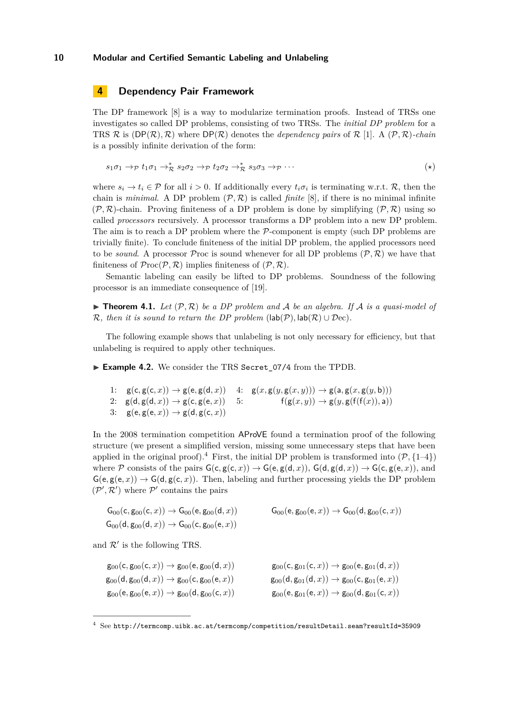# <span id="page-9-1"></span>**4 Dependency Pair Framework**

The DP framework [\[8\]](#page-15-18) is a way to modularize termination proofs. Instead of TRSs one investigates so called DP problems, consisting of two TRSs. The *initial DP problem* for a TRS  $\mathcal R$  is  $(DP(\mathcal R), \mathcal R)$  where  $DP(\mathcal R)$  denotes the *dependency pairs* of  $\mathcal R$  [\[1\]](#page-15-7). A  $(\mathcal P, \mathcal R)$ *-chain* is a possibly infinite derivation of the form:

$$
s_1\sigma_1 \to p \ t_1\sigma_1 \to^*_{\mathcal{R}} s_2\sigma_2 \to p \ t_2\sigma_2 \to^*_{\mathcal{R}} s_3\sigma_3 \to p \cdots \tag{*}
$$

where  $s_i \to t_i \in \mathcal{P}$  for all  $i > 0$ . If additionally every  $t_i \sigma_i$  is terminating w.r.t.  $\mathcal{R}$ , then the chain is *minimal*. A DP problem  $(\mathcal{P}, \mathcal{R})$  is called *finite* [\[8\]](#page-15-18), if there is no minimal infinite  $(\mathcal{P}, \mathcal{R})$ -chain. Proving finiteness of a DP problem is done by simplifying  $(\mathcal{P}, \mathcal{R})$  using so called *processors* recursively. A processor transforms a DP problem into a new DP problem. The aim is to reach a DP problem where the  $P$ -component is empty (such DP problems are trivially finite). To conclude finiteness of the initial DP problem, the applied processors need to be *sound*. A processor Proc is sound whenever for all DP problems  $(\mathcal{P}, \mathcal{R})$  we have that finiteness of  $\mathcal{P}\text{roc}(\mathcal{P}, \mathcal{R})$  implies finiteness of  $(\mathcal{P}, \mathcal{R})$ .

Semantic labeling can easily be lifted to DP problems. Soundness of the following processor is an immediate consequence of [\[19\]](#page-15-5).

<span id="page-9-5"></span> $\blacktriangleright$  **Theorem 4.1.** Let  $(\mathcal{P}, \mathcal{R})$  be a DP problem and A be an algebra. If A is a quasi-model of R, then it is sound to return the DP problem  $(\text{lab}(\mathcal{P}), \text{lab}(\mathcal{R}) \cup \mathcal{D}ec)$ .

The following example shows that unlabeling is not only necessary for efficiency, but that unlabeling is required to apply other techniques.

<span id="page-9-0"></span>► Example 4.2. We consider the TRS Secret 07/4 from the TPDB.

```
1: g(c, g(c, x)) \rightarrow g(e, g(d, x))2: g(d, g(d, x)) \rightarrow g(c, g(e, x))3: g(e, g(e, x)) \rightarrow g(d, g(c, x))4: g(x, g(y, g(x, y))) \rightarrow g(a, g(x, g(y, b)))5: f(g(x, y)) \rightarrow g(y, g(f(f(x)), a))
```
<span id="page-9-4"></span>In the 2008 termination competition AProVE found a termination proof of the following structure (we present a simplified version, missing some unnecessary steps that have been applied in the original proof).<sup>[4](#page-9-3)</sup> First, the initial DP problem is transformed into  $(\mathcal{P}, \{1-4\})$ where P consists of the pairs  $G(c, g(c, x)) \to G(e, g(d, x))$ ,  $G(d, g(d, x)) \to G(c, g(e, x))$ , and  $G(e,g(e,x)) \to G(d,g(c,x))$ . Then, labeling and further processing yields the DP problem  $(\mathcal{P}', \mathcal{R}')$  where  $\mathcal{P}'$  contains the pairs

$$
G_{00}(c, g_{00}(c, x)) \rightarrow G_{00}(e, g_{00}(d, x)) \qquad G_{00}(e, g_{00}(e, x)) \rightarrow G_{00}(d, g_{00}(c, x))
$$
  

$$
G_{00}(d, g_{00}(d, x)) \rightarrow G_{00}(c, g_{00}(e, x))
$$

and  $\mathcal{R}'$  is the following TRS.

$$
g_{00}(c, g_{00}(c, x)) \rightarrow g_{00}(e, g_{00}(d, x))
$$
  
\n
$$
g_{00}(d, g_{00}(d, x)) \rightarrow g_{00}(c, g_{00}(e, x))
$$
  
\n
$$
g_{00}(d, g_{01}(d, x)) \rightarrow g_{00}(c, g_{01}(e, x))
$$
  
\n
$$
g_{00}(d, g_{01}(d, x)) \rightarrow g_{00}(c, g_{01}(e, x))
$$
  
\n
$$
g_{00}(e, g_{01}(e, x)) \rightarrow g_{00}(d, g_{01}(c, x))
$$
  
\n
$$
g_{00}(e, g_{01}(e, x)) \rightarrow g_{00}(d, g_{01}(c, x))
$$

 $4$  See <http://termcomp.uibk.ac.at/termcomp/competition/resultDetail.seam?resultId=35909>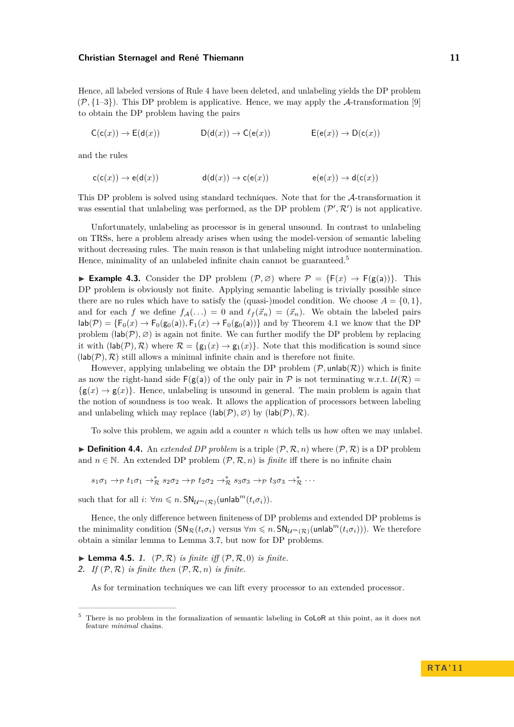Hence, all labeled versions of Rule [4](#page-9-3) have been deleted, and unlabeling yields the DP problem  $(\mathcal{P}, \{1-3\})$  $(\mathcal{P}, \{1-3\})$  $(\mathcal{P}, \{1-3\})$ . This DP problem is applicative. Hence, we may apply the A-transformation [\[9\]](#page-15-19) to obtain the DP problem having the pairs

 $C(c(x)) \rightarrow E(d(x))$   $D(d(x)) \rightarrow C(e(x))$   $E(e(x)) \rightarrow D(c(x))$ 

and the rules

$$
c(c(x)) \to e(d(x)) \qquad \qquad d(d(x)) \to c(e(x)) \qquad \qquad e(e(x)) \to d(c(x))
$$

This DP problem is solved using standard techniques. Note that for the A-transformation it was essential that unlabeling was performed, as the DP problem  $(\mathcal{P}', \mathcal{R}')$  is not applicative.

Unfortunately, unlabeling as processor is in general unsound. In contrast to unlabeling on TRSs, here a problem already arises when using the model-version of semantic labeling without decreasing rules. The main reason is that unlabeling might introduce nontermination. Hence, minimality of an unlabeled infinite chain cannot be guaranteed.<sup>5</sup>

► **Example 4.3.** Consider the DP problem  $(\mathcal{P}, \emptyset)$  where  $\mathcal{P} = \{F(x) \to F(g(a))\}$ . This DP problem is obviously not finite. Applying semantic labeling is trivially possible since there are no rules which have to satisfy the (quasi-)model condition. We choose  $A = \{0, 1\}$ , and for each *f* we define  $f_A(...) = 0$  and  $\ell_f(\vec{x}_n) = (\vec{x}_n)$ . We obtain the labeled pairs  $\textsf{lab}(\mathcal{P}) = \{\mathsf{F}_0(x) \to \mathsf{F}_0(\mathsf{g}_0(a)), \mathsf{F}_1(x) \to \mathsf{F}_0(\mathsf{g}_0(a))\}$  and by Theorem [4.1](#page-9-5) we know that the DP problem  $(\text{lab}(\mathcal{P}), \varnothing)$  is again not finite. We can further modify the DP problem by replacing it with  $(\text{lab}(\mathcal{P}), \mathcal{R})$  where  $\mathcal{R} = \{g_1(x) \to g_1(x)\}\.$  Note that this modification is sound since  $(lab(\mathcal{P}), \mathcal{R})$  still allows a minimal infinite chain and is therefore not finite.

However, applying unlabeling we obtain the DP problem  $(\mathcal{P}, \text{unlab}(\mathcal{R}))$  which is finite as now the right-hand side  $F(g(a))$  of the only pair in P is not terminating w.r.t.  $U(\mathcal{R}) =$  $\{g(x) \to g(x)\}\.$  Hence, unlabeling is unsound in general. The main problem is again that the notion of soundness is too weak. It allows the application of processors between labeling and unlabeling which may replace  $(\text{lab}(\mathcal{P}), \varnothing)$  by  $(\text{lab}(\mathcal{P}), \mathcal{R})$ .

To solve this problem, we again add a counter *n* which tells us how often we may unlabel.

 $\triangleright$  **Definition 4.4.** An *extended DP problem* is a triple  $(\mathcal{P}, \mathcal{R}, n)$  where  $(\mathcal{P}, \mathcal{R})$  is a DP problem and  $n \in \mathbb{N}$ . An extended DP problem  $(\mathcal{P}, \mathcal{R}, n)$  is *finite* iff there is no infinite chain

 $s_1\sigma_1 \rightarrow_{\mathcal{P}} t_1\sigma_1 \rightarrow_{\mathcal{R}}^* s_2\sigma_2 \rightarrow_{\mathcal{P}} t_2\sigma_2 \rightarrow_{\mathcal{R}}^* s_3\sigma_3 \rightarrow_{\mathcal{P}} t_3\sigma_3 \rightarrow_{\mathcal{R}}^* \cdots$ 

such that for all  $i: \forall m \leq n$ .  $SN_{\mathcal{U}^m(\mathcal{R})}(\text{unlab}^m(t_i \sigma_i)).$ 

Hence, the only difference between finiteness of DP problems and extended DP problems is the minimality condition  $(SN_R(t_i\sigma_i)$  versus  $\forall m \leq n$ .  $SN_{U^m(\mathcal{R})}(unlab^m(t_i\sigma_i))$ . We therefore obtain a similar lemma to Lemma [3.7,](#page-0-0) but now for DP problems.

<span id="page-10-1"></span><span id="page-10-0"></span> $\blacktriangleright$  **Lemma 4.5.** 1.  $(\mathcal{P}, \mathcal{R})$  *is finite iff*  $(\mathcal{P}, \mathcal{R}, 0)$  *is finite.* **2.** *If*  $(P, R)$  *is finite then*  $(P, R, n)$  *is finite.* 

As for termination techniques we can lift every processor to an extended processor.

 $5$  There is no problem in the formalization of semantic labeling in CoLoR at this point, as it does not feature *minimal* chains.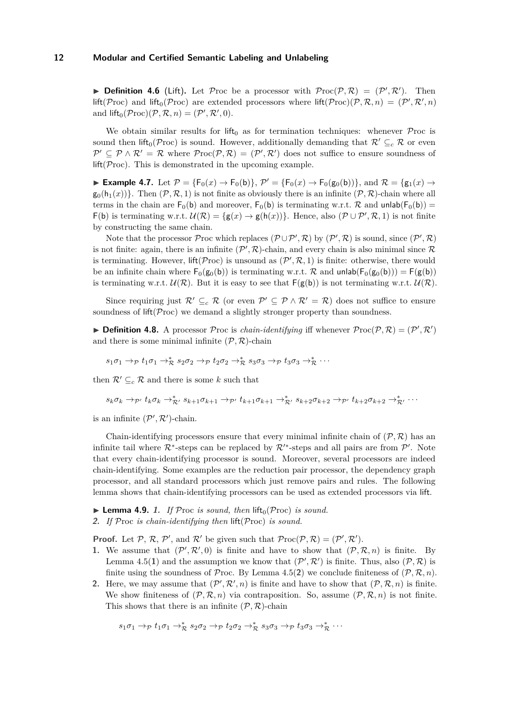**Definition 4.6** (Lift). Let Proc be a processor with  $\mathcal{P}roc(\mathcal{P}, \mathcal{R}) = (\mathcal{P}', \mathcal{R}')$ . Then  $\text{lift}(\mathcal{P} \text{roc})$  and  $\text{lift}_0(\mathcal{P} \text{roc})$  are extended processors where  $\text{lift}(\mathcal{P} \text{roc})(\mathcal{P}, \mathcal{R}, n) = (\mathcal{P}', \mathcal{R}', n)$ and  $\text{lift}_0(\mathcal{P} \text{roc})(\mathcal{P}, \mathcal{R}, n) = (\mathcal{P}', \mathcal{R}', 0).$ 

We obtain similar results for lift<sub>0</sub> as for termination techniques: whenever  $\mathcal P$ roc is sound then lift<sub>0</sub>(Proc) is sound. However, additionally demanding that  $\mathcal{R}' \subseteq_c \mathcal{R}$  or even  $\mathcal{P}' \subseteq \mathcal{P} \wedge \mathcal{R}' = \mathcal{R}$  where  $\mathcal{P}roc(\mathcal{P}, \mathcal{R}) = (\mathcal{P}', \mathcal{R}')$  does not suffice to ensure soundness of  $lift(\mathcal{P}roc)$ . This is demonstrated in the upcoming example.

► Example 4.7. Let  $P = {F_0(x) \to F_0(b)}, P' = {F_0(x) \to F_0(g_0(b))}, \text{ and } R = {g_1(x) \to g_2(a,b)}$  $g_0(h_1(x))$ . Then  $(\mathcal{P}, \mathcal{R}, 1)$  is not finite as obviously there is an infinite  $(\mathcal{P}, \mathcal{R})$ -chain where all terms in the chain are  $F_0(b)$  and moreover,  $F_0(b)$  is terminating w.r.t. R and unlab( $F_0(b)$ ) =  $\mathsf{F}(\mathsf{b})$  is terminating w.r.t.  $\mathcal{U}(\mathcal{R}) = \{\mathsf{g}(x) \to \mathsf{g}(\mathsf{h}(x))\}.$  Hence, also  $(\mathcal{P} \cup \mathcal{P}', \mathcal{R}, 1)$  is not finite by constructing the same chain.

Note that the processor Proc which replaces  $(\mathcal{P} \cup \mathcal{P}', \mathcal{R})$  by  $(\mathcal{P}', \mathcal{R})$  is sound, since  $(\mathcal{P}', \mathcal{R})$ is not finite: again, there is an infinite  $(\mathcal{P}', \mathcal{R})$ -chain, and every chain is also minimal since  $\mathcal R$ is terminating. However,  $\text{lift}(\mathcal{P} \text{roc})$  is unsound as  $(\mathcal{P}', \mathcal{R}, 1)$  is finite: otherwise, there would be an infinite chain where  $F_0(g_0(b))$  is terminating w.r.t. R and unlab $(F_0(g_0(b))) = F(g(b))$ is terminating w.r.t.  $\mathcal{U}(\mathcal{R})$ . But it is easy to see that  $F(g(b))$  is not terminating w.r.t.  $\mathcal{U}(\mathcal{R})$ .

Since requiring just  $\mathcal{R}' \subseteq_c \mathcal{R}$  (or even  $\mathcal{P}' \subseteq \mathcal{P} \wedge \mathcal{R}' = \mathcal{R}$ ) does not suffice to ensure soundness of  $\text{lift}(\mathcal{P} \text{roc})$  we demand a slightly stronger property than soundness.

**Definition 4.8.** A processor Proc is *chain-identifying* iff whenever  $\mathcal{P}\text{roc}(\mathcal{P}, \mathcal{R}) = (\mathcal{P}', \mathcal{R}')$ and there is some minimal infinite  $(\mathcal{P}, \mathcal{R})$ -chain

$$
s_1\sigma_1 \rightarrow_{\mathcal{P}} t_1\sigma_1 \rightarrow_{\mathcal{R}}^* s_2\sigma_2 \rightarrow_{\mathcal{P}} t_2\sigma_2 \rightarrow_{\mathcal{R}}^* s_3\sigma_3 \rightarrow_{\mathcal{P}} t_3\sigma_3 \rightarrow_{\mathcal{R}}^* \cdots
$$

then  $\mathcal{R}' \subseteq_c \mathcal{R}$  and there is some *k* such that

$$
s_k \sigma_k \to_{\mathcal{P}'} t_k \sigma_k \to_{\mathcal{R}'}^* s_{k+1} \sigma_{k+1} \to_{\mathcal{P}'} t_{k+1} \sigma_{k+1} \to_{\mathcal{R}'}^* s_{k+2} \sigma_{k+2} \to_{\mathcal{P}'} t_{k+2} \sigma_{k+2} \to_{\mathcal{R}'}^* \cdots
$$

is an infinite  $(\mathcal{P}', \mathcal{R}')$ -chain.

Chain-identifying processors ensure that every minimal infinite chain of  $(\mathcal{P}, \mathcal{R})$  has an infinite tail where  $\mathcal{R}^*$ -steps can be replaced by  $\mathcal{R}'^*$ -steps and all pairs are from  $\mathcal{P}'$ . Note that every chain-identifying processor is sound. Moreover, several processors are indeed chain-identifying. Some examples are the reduction pair processor, the dependency graph processor, and all standard processors which just remove pairs and rules. The following lemma shows that chain-identifying processors can be used as extended processors via lift.

- $\blacktriangleright$  **Lemma 4.9.** 1. If Proc *is sound, then* lift<sub>0</sub>(Proc) *is sound.*
- **2.** *If* Proc *is chain-identifying then* lift(Proc) *is sound.*

**Proof.** Let P, R, P', and R' be given such that  $\mathcal{P}roc(\mathcal{P}, \mathcal{R}) = (\mathcal{P}', \mathcal{R}')$ .

- **1.** We assume that  $(\mathcal{P}', \mathcal{R}', 0)$  is finite and have to show that  $(\mathcal{P}, \mathcal{R}, n)$  is finite. By Lemma [4.5\(](#page-0-0)[1](#page-10-0)) and the assumption we know that  $(P', \mathcal{R}')$  is finite. Thus, also  $(\mathcal{P}, \mathcal{R})$  is finite using the soundness of Proc. By Lemma [4.5\(](#page-0-0)[2](#page-10-1)) we conclude finiteness of  $(\mathcal{P}, \mathcal{R}, n)$ .
- **2.** Here, we may assume that  $(\mathcal{P}', \mathcal{R}', n)$  is finite and have to show that  $(\mathcal{P}, \mathcal{R}, n)$  is finite. We show finiteness of  $(\mathcal{P}, \mathcal{R}, n)$  via contraposition. So, assume  $(\mathcal{P}, \mathcal{R}, n)$  is not finite. This shows that there is an infinite  $(\mathcal{P}, \mathcal{R})$ -chain

$$
s_1\sigma_1 \to_{\mathcal{P}} t_1\sigma_1 \to_{\mathcal{R}}^* s_2\sigma_2 \to_{\mathcal{P}} t_2\sigma_2 \to_{\mathcal{R}}^* s_3\sigma_3 \to_{\mathcal{P}} t_3\sigma_3 \to_{\mathcal{R}}^* \cdots
$$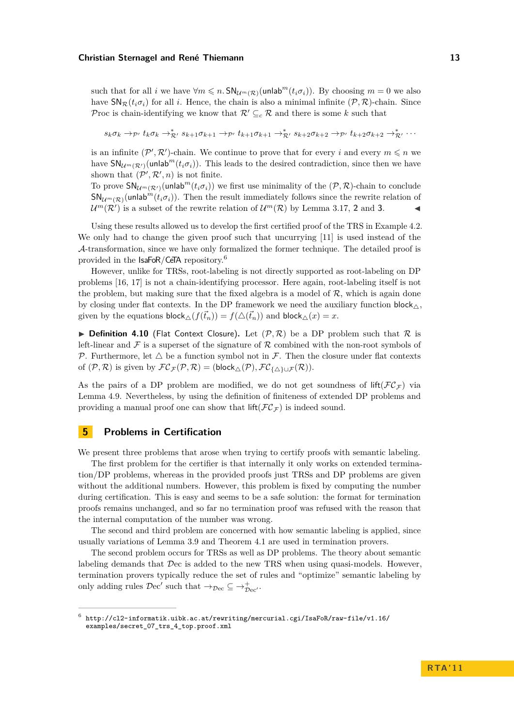such that for all *i* we have  $\forall m \leq n$ .  $\mathsf{SN}_{\mathcal{U}^m(\mathcal{R})}(\mathsf{unlab}^m(t_i \sigma_i))$ . By choosing  $m = 0$  we also have  $\mathsf{SN}_{\mathcal{R}}(t_i\sigma_i)$  for all *i*. Hence, the chain is also a minimal infinite  $(\mathcal{P}, \mathcal{R})$ -chain. Since Proc is chain-identifying we know that  $\mathcal{R}' \subseteq_c \mathcal{R}$  and there is some *k* such that

 $s_k \sigma_k \to_{\mathcal{P}'} t_k \sigma_k \to_{\mathcal{R}'}^* s_{k+1} \sigma_{k+1} \to_{\mathcal{P}'} t_{k+1} \sigma_{k+1} \to_{\mathcal{R}'}^* s_{k+2} \sigma_{k+2} \to_{\mathcal{P}'} t_{k+2} \sigma_{k+2} \to_{\mathcal{R}'}^* \cdots$ 

is an infinite  $(\mathcal{P}', \mathcal{R}')$ -chain. We continue to prove that for every *i* and every  $m \leq n$  we have  $\mathsf{SN}_{\mathcal{U}^m(\mathcal{R}')}(\mathsf{unlab}^m(t_i\sigma_i))$ . This leads to the desired contradiction, since then we have shown that  $(\mathcal{P}', \mathcal{R}', n)$  is not finite.

To prove  $\mathsf{SN}_{\mathcal{U}^m(\mathcal{R}')}(\mathsf{unlab}^m(t_i\sigma_i))$  we first use minimality of the  $(\mathcal{P}, \mathcal{R})$ -chain to conclude  $SN_{\mathcal{U}^{m}(\mathcal{R})}(\text{unlab}^{m}(t_{i}\sigma_{i}))$ . Then the result immediately follows since the rewrite relation of  $U^m(\mathcal{R}')$  is a subset of the rewrite relation of  $U^m(\mathcal{R})$  by Lemma [3.17,](#page-0-0) [2](#page-7-1) and [3](#page-7-0).

Using these results allowed us to develop the first certified proof of the TRS in Example [4.2.](#page-9-0) We only had to change the given proof such that uncurrying [\[11\]](#page-15-16) is used instead of the A-transformation, since we have only formalized the former technique. The detailed proof is provided in the IsaFoR/CeTA repository.<sup>6</sup>

However, unlike for TRSs, root-labeling is not directly supported as root-labeling on DP problems [\[16,](#page-15-15) [17\]](#page-15-20) is not a chain-identifying processor. Here again, root-labeling itself is not the problem, but making sure that the fixed algebra is a model of  $R$ , which is again done by closing under flat contexts. In the DP framework we need the auxiliary function block  $\wedge$ . given by the equations  $\text{block}_{\triangle}(f(\vec{t}_n)) = f(\triangle(\vec{t}_n))$  and  $\text{block}_{\triangle}(x) = x$ .

**Definition 4.10** (Flat Context Closure). Let  $(\mathcal{P}, \mathcal{R})$  be a DP problem such that  $\mathcal{R}$  is left-linear and  $\mathcal F$  is a superset of the signature of  $\mathcal R$  combined with the non-root symbols of P. Furthermore, let  $\triangle$  be a function symbol not in F. Then the closure under flat contexts of  $(\mathcal{P}, \mathcal{R})$  is given by  $\mathcal{FC}_{\mathcal{F}}(\mathcal{P}, \mathcal{R}) = (\text{block}_{\triangle}(\mathcal{P}), \mathcal{FC}_{\{\triangle\}\cup\mathcal{F}}(\mathcal{R})).$ 

As the pairs of a DP problem are modified, we do not get soundness of lift( $\mathcal{FC}_{\tau}$ ) via Lemma [4.9.](#page-0-0) Nevertheless, by using the definition of finiteness of extended DP problems and providing a manual proof one can show that  $\text{lift}(\mathcal{FC}_\mathcal{F})$  is indeed sound.

# <span id="page-12-0"></span>**5 Problems in Certification**

We present three problems that arose when trying to certify proofs with semantic labeling.

The first problem for the certifier is that internally it only works on extended termination/DP problems, whereas in the provided proofs just TRSs and DP problems are given without the additional numbers. However, this problem is fixed by computing the number during certification. This is easy and seems to be a safe solution: the format for termination proofs remains unchanged, and so far no termination proof was refused with the reason that the internal computation of the number was wrong.

The second and third problem are concerned with how semantic labeling is applied, since usually variations of Lemma [3.9](#page-5-2) and Theorem [4.1](#page-9-5) are used in termination provers.

The second problem occurs for TRSs as well as DP problems. The theory about semantic labeling demands that Dec is added to the new TRS when using quasi-models. However, termination provers typically reduce the set of rules and "optimize" semantic labeling by only adding rules  $\mathcal{D}ec'$  such that  $\rightarrow_{\mathcal{D}ec} \subseteq \rightarrow_{\mathcal{D}ec'}^+$ .

<sup>6</sup> [http://cl2-informatik.uibk.ac.at/rewriting/mercurial.cgi/IsaFoR/raw-file/v1.16/](http://cl2-informatik.uibk.ac.at/rewriting/mercurial.cgi/IsaFoR/raw-file/v1.16/examples/secret_07_trs_4_top.proof.xml) [examples/secret\\_07\\_trs\\_4\\_top.proof.xml](http://cl2-informatik.uibk.ac.at/rewriting/mercurial.cgi/IsaFoR/raw-file/v1.16/examples/secret_07_trs_4_top.proof.xml)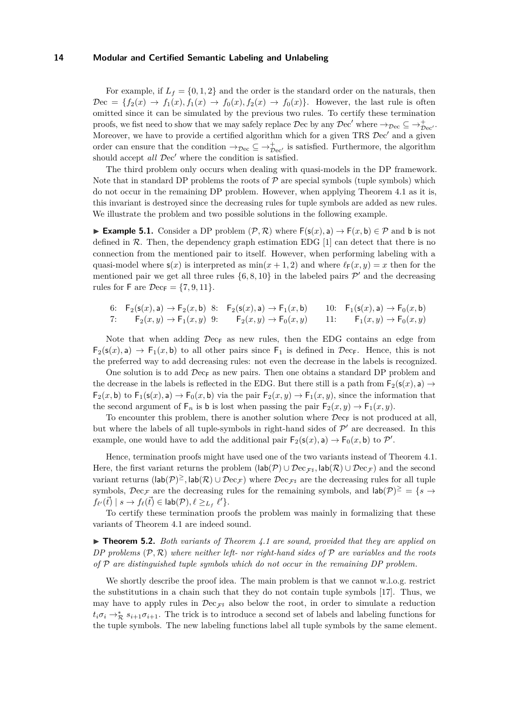For example, if  $L_f = \{0, 1, 2\}$  and the order is the standard order on the naturals, then  $\mathcal{D}$ ec = { $f_2(x) \rightarrow f_1(x), f_1(x) \rightarrow f_0(x), f_2(x) \rightarrow f_0(x)$ }. However, the last rule is often omitted since it can be simulated by the previous two rules. To certify these termination proofs, we fist need to show that we may safely replace  $\mathcal{D}$ ec by any  $\mathcal{D}$ ec' where  $\rightarrow_{\mathcal{D}ec} \subseteq \rightarrow_{\mathcal{D}ec'}^+$ . Moreover, we have to provide a certified algorithm which for a given TRS  $\mathcal{D}ec'$  and a given order can ensure that the condition  $\rightarrow_{\mathcal{D}ec} \subseteq \rightarrow_{\mathcal{D}ec'}^+$  is satisfied. Furthermore, the algorithm should accept *all*  $\mathcal{D}ec'$  where the condition is satisfied.

The third problem only occurs when dealing with quasi-models in the DP framework. Note that in standard DP problems the roots of  $P$  are special symbols (tuple symbols) which do not occur in the remaining DP problem. However, when applying Theorem [4.1](#page-9-5) as it is, this invariant is destroyed since the decreasing rules for tuple symbols are added as new rules. We illustrate the problem and two possible solutions in the following example.

**Example 5.1.** Consider a DP problem  $(\mathcal{P}, \mathcal{R})$  where  $F(s(x), a)$  →  $F(x, b) \in \mathcal{P}$  and b is not defined in  $\mathcal{R}$ . Then, the dependency graph estimation EDG [\[1\]](#page-15-7) can detect that there is no connection from the mentioned pair to itself. However, when performing labeling with a quasi-model where  $\mathsf{s}(x)$  is interpreted as  $\min(x + 1, 2)$  and where  $\ell_{\mathsf{F}}(x, y) = x$  then for the mentioned pair we get all three rules  $\{6, 8, 10\}$  $\{6, 8, 10\}$  $\{6, 8, 10\}$  $\{6, 8, 10\}$  $\{6, 8, 10\}$  $\{6, 8, 10\}$  $\{6, 8, 10\}$  in the labeled pairs  $\mathcal{P}'$  and the decreasing rules for F are  $\mathcal{D}ec_F = \{7, 9, 11\}.$  $\mathcal{D}ec_F = \{7, 9, 11\}.$  $\mathcal{D}ec_F = \{7, 9, 11\}.$  $\mathcal{D}ec_F = \{7, 9, 11\}.$  $\mathcal{D}ec_F = \{7, 9, 11\}.$  $\mathcal{D}ec_F = \{7, 9, 11\}.$  $\mathcal{D}ec_F = \{7, 9, 11\}.$ 

<span id="page-13-5"></span><span id="page-13-4"></span><span id="page-13-3"></span><span id="page-13-2"></span><span id="page-13-1"></span><span id="page-13-0"></span>6: 
$$
F_2(s(x), a) \to F_2(x, b)
$$
 8:  $F_2(s(x), a) \to F_1(x, b)$  10:  $F_1(s(x), a) \to F_0(x, b)$   
7:  $F_2(x, y) \to F_1(x, y)$  9:  $F_2(x, y) \to F_0(x, y)$  11:  $F_1(x, y) \to F_0(x, y)$ 

Note that when adding  $\mathcal{D}ec_{F}$  as new rules, then the EDG contains an edge from  $F_2(s(x), a) \to F_1(x, b)$  to all other pairs since  $F_1$  is defined in  $\mathcal{D}ec_F$ . Hence, this is not the preferred way to add decreasing rules: not even the decrease in the labels is recognized.

One solution is to add  $\mathcal{D}$ ec<sub>F</sub> as new pairs. Then one obtains a standard DP problem and the decrease in the labels is reflected in the EDG. But there still is a path from  $F_2(s(x), a) \rightarrow$  $F_2(x, b)$  to  $F_1(s(x), a) \to F_0(x, b)$  via the pair  $F_2(x, y) \to F_1(x, y)$ , since the information that the second argument of  $\mathsf{F}_n$  is b is lost when passing the pair  $\mathsf{F}_2(x,y) \to \mathsf{F}_1(x,y)$ .

To encounter this problem, there is another solution where  $\mathcal{D}ec_{F}$  is not produced at all, but where the labels of all tuple-symbols in right-hand sides of  $\mathcal{P}'$  are decreased. In this example, one would have to add the additional pair  $\mathsf{F}_2(\mathsf{s}(x), \mathsf{a}) \to \mathsf{F}_0(x, \mathsf{b})$  to  $\mathcal{P}'$ .

Hence, termination proofs might have used one of the two variants instead of Theorem [4.1.](#page-9-5) Here, the first variant returns the problem  $(\text{lab}(\mathcal{P}) \cup \mathcal{D}ec_{\mathcal{F}^{\sharp}}, \text{lab}(\mathcal{R}) \cup \mathcal{D}ec_{\mathcal{F}})$  and the second variant returns  $(\textsf{lab}(\mathcal{P})^{\geq}, \textsf{lab}(\mathcal{R}) \cup \mathcal{D}\text{ec}_{\mathcal{F}})$  where  $\mathcal{D}\text{ec}_{\mathcal{F}^{\sharp}}$  are the decreasing rules for all tuple symbols,  $\mathcal{D}ec_{\mathcal{F}}$  are the decreasing rules for the remaining symbols, and  $\mathsf{lab}(\mathcal{P})^{\geq} = \{s \rightarrow$  $f_{\ell'}(\vec{t}) \mid s \to f_{\ell}(\vec{t}) \in \mathsf{lab}(\mathcal{P}), \ell \geq_{L_f} \ell' \}.$ 

To certify these termination proofs the problem was mainly in formalizing that these variants of Theorem [4.1](#page-9-5) are indeed sound.

<span id="page-13-6"></span>▶ **Theorem 5.2.** *Both variants of Theorem [4.1](#page-9-5) are sound, provided that they are applied on DP problems* (P*,* R) *where neither left- nor right-hand sides of* P *are variables and the roots of* P *are distinguished tuple symbols which do not occur in the remaining DP problem.*

We shortly describe the proof idea. The main problem is that we cannot w.l.o.g. restrict the substitutions in a chain such that they do not contain tuple symbols [\[17\]](#page-15-20). Thus, we may have to apply rules in  $\mathcal{D}\lll_{\tau\sharp}$  also below the root, in order to simulate a reduction  $t_i \sigma_i \rightarrow_{\mathcal{R}}^* s_{i+1} \sigma_{i+1}$ . The trick is to introduce a second set of labels and labeling functions for the tuple symbols. The new labeling functions label all tuple symbols by the same element.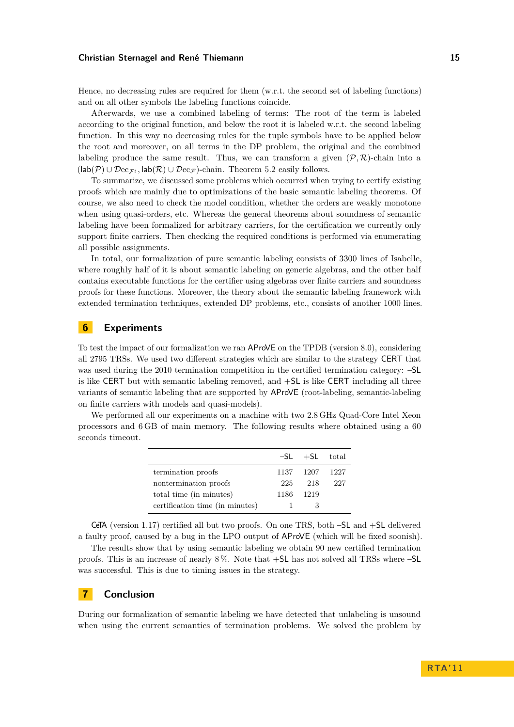Hence, no decreasing rules are required for them (w.r.t. the second set of labeling functions) and on all other symbols the labeling functions coincide.

Afterwards, we use a combined labeling of terms: The root of the term is labeled according to the original function, and below the root it is labeled w.r.t. the second labeling function. In this way no decreasing rules for the tuple symbols have to be applied below the root and moreover, on all terms in the DP problem, the original and the combined labeling produce the same result. Thus, we can transform a given  $(\mathcal{P}, \mathcal{R})$ -chain into a  $(\mathsf{lab}(\mathcal{P}) \cup \mathcal{D}\mathrm{ec}_{\mathcal{F}\sharp}, \mathsf{lab}(\mathcal{R}) \cup \mathcal{D}\mathrm{ec}_{\mathcal{F}})$ -chain. Theorem [5.2](#page-13-6) easily follows.

To summarize, we discussed some problems which occurred when trying to certify existing proofs which are mainly due to optimizations of the basic semantic labeling theorems. Of course, we also need to check the model condition, whether the orders are weakly monotone when using quasi-orders, etc. Whereas the general theorems about soundness of semantic labeling have been formalized for arbitrary carriers, for the certification we currently only support finite carriers. Then checking the required conditions is performed via enumerating all possible assignments.

In total, our formalization of pure semantic labeling consists of 3300 lines of Isabelle, where roughly half of it is about semantic labeling on generic algebras, and the other half contains executable functions for the certifier using algebras over finite carriers and soundness proofs for these functions. Moreover, the theory about the semantic labeling framework with extended termination techniques, extended DP problems, etc., consists of another 1000 lines.

# <span id="page-14-0"></span>**6 Experiments**

To test the impact of our formalization we ran AProVE on the TPDB (version 8.0), considering all 2795 TRSs. We used two different strategies which are similar to the strategy CERT that was used during the 2010 termination competition in the certified termination category: –SL is like CERT but with semantic labeling removed, and +SL is like CERT including all three variants of semantic labeling that are supported by AProVE (root-labeling, semantic-labeling on finite carriers with models and quasi-models).

We performed all our experiments on a machine with two 2.8 GHz Quad-Core Intel Xeon processors and 6 GB of main memory. The following results where obtained using a 60 seconds timeout.

|                                 |      | $-SL$ $+SL$ total |     |
|---------------------------------|------|-------------------|-----|
| termination proofs              |      | 1137 1207 1227    |     |
| nontermination proofs           | 225  | 218               | 227 |
| total time (in minutes)         | 1186 | 1219              |     |
| certification time (in minutes) |      |                   |     |

CeTA (version 1.17) certified all but two proofs. On one TRS, both –SL and +SL delivered a faulty proof, caused by a bug in the LPO output of AProVE (which will be fixed soonish).

The results show that by using semantic labeling we obtain 90 new certified termination proofs. This is an increase of nearly 8 %. Note that +SL has not solved all TRSs where –SL was successful. This is due to timing issues in the strategy.

# <span id="page-14-1"></span>**7 Conclusion**

During our formalization of semantic labeling we have detected that unlabeling is unsound when using the current semantics of termination problems. We solved the problem by